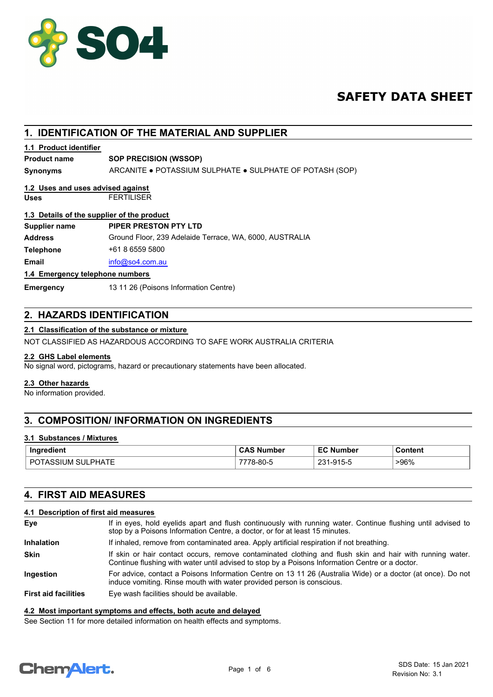

# **SAFETY DATA SHEET**

# **1. IDENTIFICATION OF THE MATERIAL AND SUPPLIER**

#### **1.1 Product identifier**

#### **Product name SOP PRECISION (WSSOP)**

**Synonyms** ARCANITE ● POTASSIUM SULPHATE ● SULPHATE OF POTASH (SOP)

# **1.2 Uses and uses advised against**

**Uses** FERTILISER

#### **1.3 Details of the supplier of the product**

| Supplier name                   | PIPER PRESTON PTY LTD                                   |  |
|---------------------------------|---------------------------------------------------------|--|
| Address                         | Ground Floor, 239 Adelaide Terrace, WA, 6000, AUSTRALIA |  |
| Telephone                       | +61 8 6559 5800                                         |  |
| Email                           | info@so4.com.au                                         |  |
| 1.4 Emergency telephone numbers |                                                         |  |

#### **1.4 Emergency telephone numbers**

**Emergency** 13 11 26 (Poisons Information Centre)

#### **2. HAZARDS IDENTIFICATION**

#### **2.1 Classification of the substance or mixture**

NOT CLASSIFIED AS HAZARDOUS ACCORDING TO SAFE WORK AUSTRALIA CRITERIA

#### **2.2 GHS Label elements**

No signal word, pictograms, hazard or precautionary statements have been allocated.

#### **2.3 Other hazards**

No information provided.

# **3. COMPOSITION/ INFORMATION ON INGREDIENTS**

#### **3.1 Substances / Mixtures**

| Ingredient                  | <b>CAS Number</b> | ЕC<br><b>Number</b> | Content |
|-----------------------------|-------------------|---------------------|---------|
| SULPHATE<br>DC<br>POTASSIUM | 78-80-5           | ດລ4<br>1-915-5      | >96%    |

#### **4. FIRST AID MEASURES**

#### **4.1 Description of first aid measures**

| Eye                         | If in eyes, hold eyelids apart and flush continuously with running water. Continue flushing until advised to<br>stop by a Poisons Information Centre, a doctor, or for at least 15 minutes.                 |
|-----------------------------|-------------------------------------------------------------------------------------------------------------------------------------------------------------------------------------------------------------|
| <b>Inhalation</b>           | If inhaled, remove from contaminated area. Apply artificial respiration if not breathing.                                                                                                                   |
| <b>Skin</b>                 | If skin or hair contact occurs, remove contaminated clothing and flush skin and hair with running water.<br>Continue flushing with water until advised to stop by a Poisons Information Centre or a doctor. |
| <b>Ingestion</b>            | For advice, contact a Poisons Information Centre on 13 11 26 (Australia Wide) or a doctor (at once). Do not<br>induce vomiting. Rinse mouth with water provided person is conscious.                        |
| <b>First aid facilities</b> | Eye wash facilities should be available.                                                                                                                                                                    |

#### **4.2 Most important symptoms and effects, both acute and delayed**

See Section 11 for more detailed information on health effects and symptoms.

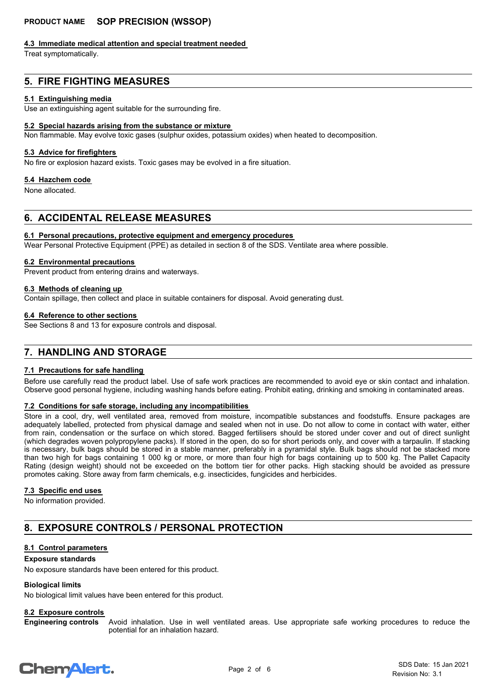#### **4.3 Immediate medical attention and special treatment needed**

Treat symptomatically.

# **5. FIRE FIGHTING MEASURES**

#### **5.1 Extinguishing media**

Use an extinguishing agent suitable for the surrounding fire.

#### **5.2 Special hazards arising from the substance or mixture**

Non flammable. May evolve toxic gases (sulphur oxides, potassium oxides) when heated to decomposition.

#### **5.3 Advice for firefighters**

No fire or explosion hazard exists. Toxic gases may be evolved in a fire situation.

#### **5.4 Hazchem code**

None allocated.

# **6. ACCIDENTAL RELEASE MEASURES**

#### **6.1 Personal precautions, protective equipment and emergency procedures**

Wear Personal Protective Equipment (PPE) as detailed in section 8 of the SDS. Ventilate area where possible.

#### **6.2 Environmental precautions**

Prevent product from entering drains and waterways.

# **6.3 Methods of cleaning up**

Contain spillage, then collect and place in suitable containers for disposal. Avoid generating dust.

#### **6.4 Reference to other sections**

See Sections 8 and 13 for exposure controls and disposal.

# **7. HANDLING AND STORAGE**

#### **7.1 Precautions for safe handling**

Before use carefully read the product label. Use of safe work practices are recommended to avoid eye or skin contact and inhalation. Observe good personal hygiene, including washing hands before eating. Prohibit eating, drinking and smoking in contaminated areas.

#### **7.2 Conditions for safe storage, including any incompatibilities**

Store in a cool, dry, well ventilated area, removed from moisture, incompatible substances and foodstuffs. Ensure packages are adequately labelled, protected from physical damage and sealed when not in use. Do not allow to come in contact with water, either from rain, condensation or the surface on which stored. Bagged fertilisers should be stored under cover and out of direct sunlight (which degrades woven polypropylene packs). If stored in the open, do so for short periods only, and cover with a tarpaulin. If stacking is necessary, bulk bags should be stored in a stable manner, preferably in a pyramidal style. Bulk bags should not be stacked more than two high for bags containing 1 000 kg or more, or more than four high for bags containing up to 500 kg. The Pallet Capacity Rating (design weight) should not be exceeded on the bottom tier for other packs. High stacking should be avoided as pressure promotes caking. Store away from farm chemicals, e.g. insecticides, fungicides and herbicides.

#### **7.3 Specific end uses**

No information provided.

# **8. EXPOSURE CONTROLS / PERSONAL PROTECTION**

#### **8.1 Control parameters**

#### **Exposure standards**

No exposure standards have been entered for this product.

#### **Biological limits**

No biological limit values have been entered for this product.

#### **8.2 Exposure controls**

Avoid inhalation. Use in well ventilated areas. Use appropriate safe working procedures to reduce the potential for an inhalation hazard. **Engineering controls**

# **ChemAlert.**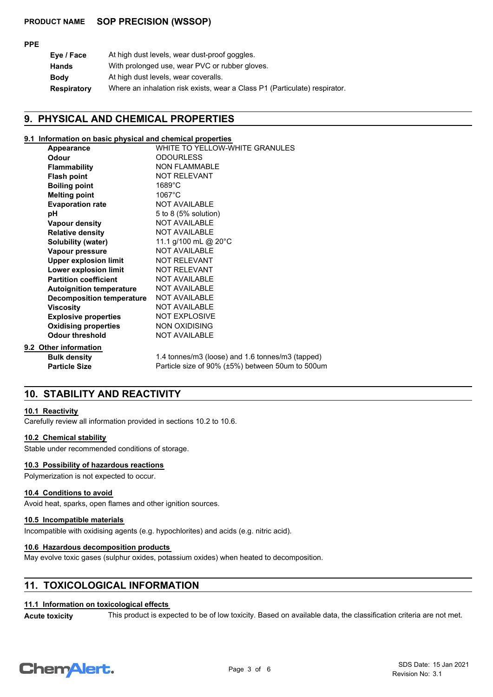#### **PPE**

| Eye / Face         | At high dust levels, wear dust-proof goggles.                              |
|--------------------|----------------------------------------------------------------------------|
| <b>Hands</b>       | With prolonged use, wear PVC or rubber gloves.                             |
| <b>Body</b>        | At high dust levels, wear coveralls.                                       |
| <b>Respiratory</b> | Where an inhalation risk exists, wear a Class P1 (Particulate) respirator. |

#### **9. PHYSICAL AND CHEMICAL PROPERTIES**

#### **9.1 Information on basic physical and chemical properties**

| Appearance                       | WHITE TO YELLOW-WHITE GRANULES                   |
|----------------------------------|--------------------------------------------------|
| Odour                            | <b>ODOURLESS</b>                                 |
| <b>Flammability</b>              | <b>NON FLAMMABLE</b>                             |
| <b>Flash point</b>               | <b>NOT RELEVANT</b>                              |
| <b>Boiling point</b>             | $1689^{\circ}$ C                                 |
| <b>Melting point</b>             | $1067^{\circ}$ C                                 |
| <b>Evaporation rate</b>          | <b>NOT AVAILABLE</b>                             |
| рH                               | 5 to 8 (5% solution)                             |
| <b>Vapour density</b>            | <b>NOT AVAILABLE</b>                             |
| <b>Relative density</b>          | <b>NOT AVAILABLE</b>                             |
| <b>Solubility (water)</b>        | 11.1 g/100 mL @ 20°C                             |
| Vapour pressure                  | <b>NOT AVAILABLE</b>                             |
| <b>Upper explosion limit</b>     | <b>NOT RELEVANT</b>                              |
| Lower explosion limit            | <b>NOT RELEVANT</b>                              |
| <b>Partition coefficient</b>     | <b>NOT AVAILABLE</b>                             |
| <b>Autoignition temperature</b>  | <b>NOT AVAILABLE</b>                             |
| <b>Decomposition temperature</b> | <b>NOT AVAILABLE</b>                             |
| <b>Viscosity</b>                 | <b>NOT AVAILABLE</b>                             |
| <b>Explosive properties</b>      | <b>NOT EXPLOSIVE</b>                             |
| <b>Oxidising properties</b>      | <b>NON OXIDISING</b>                             |
| <b>Odour threshold</b>           | <b>NOT AVAILABLE</b>                             |
| 9.2 Other information            |                                                  |
| <b>Bulk density</b>              | 1.4 tonnes/m3 (loose) and 1.6 tonnes/m3 (tapped) |
| <b>Particle Size</b>             | Particle size of 90% (±5%) between 50um to 500um |

# **10. STABILITY AND REACTIVITY**

#### **10.1 Reactivity**

Carefully review all information provided in sections 10.2 to 10.6.

#### **10.2 Chemical stability**

Stable under recommended conditions of storage.

#### **10.3 Possibility of hazardous reactions**

Polymerization is not expected to occur.

#### **10.4 Conditions to avoid**

Avoid heat, sparks, open flames and other ignition sources.

## **10.5 Incompatible materials**

Incompatible with oxidising agents (e.g. hypochlorites) and acids (e.g. nitric acid).

#### **10.6 Hazardous decomposition products**

May evolve toxic gases (sulphur oxides, potassium oxides) when heated to decomposition.

#### **11. TOXICOLOGICAL INFORMATION**

#### **11.1 Information on toxicological effects**

Acute toxicity This product is expected to be of low toxicity. Based on available data, the classification criteria are not met.

# **ChemAlert.**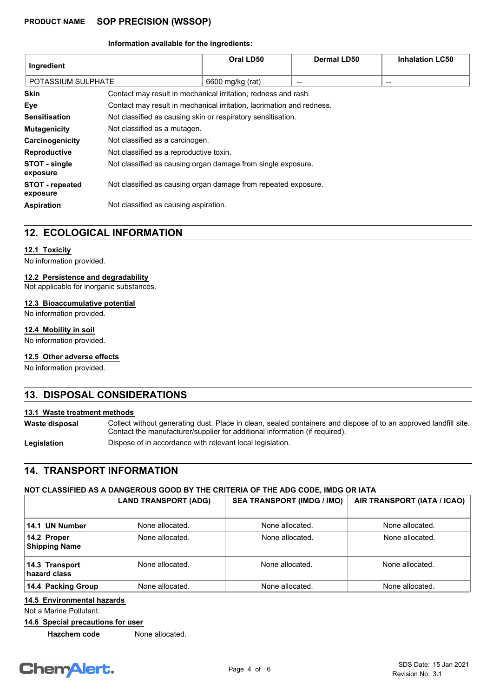#### **Information available for the ingredients:**

| Ingredient                         |                                                                       | Oral LD50        | <b>Dermal LD50</b> | <b>Inhalation LC50</b> |
|------------------------------------|-----------------------------------------------------------------------|------------------|--------------------|------------------------|
| POTASSIUM SULPHATE                 |                                                                       | 6600 mg/kg (rat) | --                 | --                     |
| <b>Skin</b>                        | Contact may result in mechanical irritation, redness and rash.        |                  |                    |                        |
| Eye                                | Contact may result in mechanical irritation, lacrimation and redness. |                  |                    |                        |
| <b>Sensitisation</b>               | Not classified as causing skin or respiratory sensitisation.          |                  |                    |                        |
| <b>Mutagenicity</b>                | Not classified as a mutagen.                                          |                  |                    |                        |
| Carcinogenicity                    | Not classified as a carcinogen.                                       |                  |                    |                        |
| Reproductive                       | Not classified as a reproductive toxin.                               |                  |                    |                        |
| STOT - single<br>exposure          | Not classified as causing organ damage from single exposure.          |                  |                    |                        |
| <b>STOT - repeated</b><br>exposure | Not classified as causing organ damage from repeated exposure.        |                  |                    |                        |
| <b>Aspiration</b>                  | Not classified as causing aspiration.                                 |                  |                    |                        |

## **12. ECOLOGICAL INFORMATION**

#### **12.1 Toxicity**

No information provided.

#### **12.2 Persistence and degradability**

Not applicable for inorganic substances.

#### **12.3 Bioaccumulative potential**

No information provided.

#### **12.4 Mobility in soil**

No information provided.

#### **12.5 Other adverse effects**

No information provided.

### **13. DISPOSAL CONSIDERATIONS**

#### **13.1 Waste treatment methods**

Collect without generating dust. Place in clean, sealed containers and dispose of to an approved landfill site. Contact the manufacturer/supplier for additional information (if required). **Waste disposal**

Legislation **Dispose of in accordance with relevant local legislation.** 

#### **14. TRANSPORT INFORMATION**

#### **NOT CLASSIFIED AS A DANGEROUS GOOD BY THE CRITERIA OF THE ADG CODE, IMDG OR IATA**

|                                     | <b>LAND TRANSPORT (ADG)</b> | <b>SEA TRANSPORT (IMDG / IMO)</b> | AIR TRANSPORT (IATA / ICAO) |
|-------------------------------------|-----------------------------|-----------------------------------|-----------------------------|
| 14.1 UN Number                      | None allocated.             | None allocated.                   | None allocated.             |
| 14.2 Proper<br><b>Shipping Name</b> | None allocated.             | None allocated.                   | None allocated.             |
| 14.3 Transport<br>hazard class      | None allocated.             | None allocated.                   | None allocated.             |
| 14.4 Packing Group                  | None allocated.             | None allocated.                   | None allocated.             |

#### **14.5 Environmental hazards**

Not a Marine Pollutant.

**14.6 Special precautions for user**

**Hazchem code** None allocated.

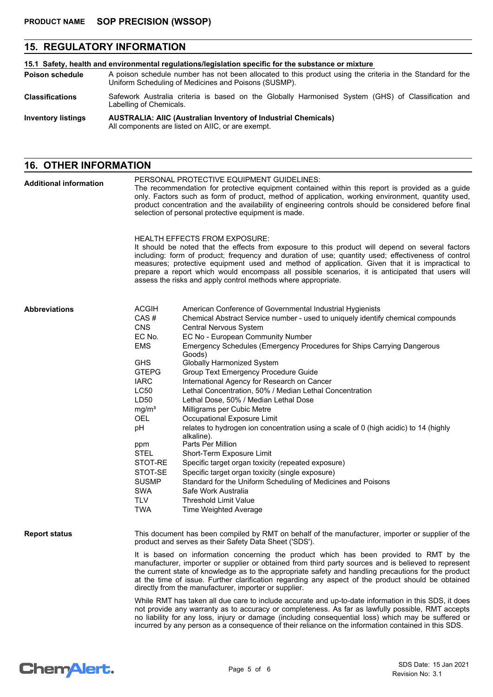# **15. REGULATORY INFORMATION**

| 15.1 Safety, health and environmental regulations/legislation specific for the substance or mixture |                                                                                                                                                                    |  |  |
|-----------------------------------------------------------------------------------------------------|--------------------------------------------------------------------------------------------------------------------------------------------------------------------|--|--|
| <b>Poison schedule</b>                                                                              | A poison schedule number has not been allocated to this product using the criteria in the Standard for the<br>Uniform Scheduling of Medicines and Poisons (SUSMP). |  |  |
| <b>Classifications</b>                                                                              | Safework Australia criteria is based on the Globally Harmonised System (GHS) of Classification and<br>Labelling of Chemicals.                                      |  |  |
| <b>Inventory listings</b>                                                                           | <b>AUSTRALIA: AIIC (Australian Inventory of Industrial Chemicals)</b><br>All components are listed on AIIC, or are exempt.                                         |  |  |

# **16. OTHER INFORMATION**

| <b>Additional information</b> | PERSONAL PROTECTIVE EQUIPMENT GUIDELINES:<br>The recommendation for protective equipment contained within this report is provided as a guide<br>only. Factors such as form of product, method of application, working environment, quantity used,<br>product concentration and the availability of engineering controls should be considered before final<br>selection of personal protective equipment is made. |                                                                                                                                                                                                                                                                                                                                                                                                                                                                                                                                                                                                                                                                                                                                                                                                                                                                                                                                                                                                                                                                  |  |  |
|-------------------------------|------------------------------------------------------------------------------------------------------------------------------------------------------------------------------------------------------------------------------------------------------------------------------------------------------------------------------------------------------------------------------------------------------------------|------------------------------------------------------------------------------------------------------------------------------------------------------------------------------------------------------------------------------------------------------------------------------------------------------------------------------------------------------------------------------------------------------------------------------------------------------------------------------------------------------------------------------------------------------------------------------------------------------------------------------------------------------------------------------------------------------------------------------------------------------------------------------------------------------------------------------------------------------------------------------------------------------------------------------------------------------------------------------------------------------------------------------------------------------------------|--|--|
|                               |                                                                                                                                                                                                                                                                                                                                                                                                                  | <b>HEALTH EFFECTS FROM EXPOSURE:</b><br>It should be noted that the effects from exposure to this product will depend on several factors<br>including: form of product; frequency and duration of use; quantity used; effectiveness of control<br>measures; protective equipment used and method of application. Given that it is impractical to<br>prepare a report which would encompass all possible scenarios, it is anticipated that users will<br>assess the risks and apply control methods where appropriate.                                                                                                                                                                                                                                                                                                                                                                                                                                                                                                                                            |  |  |
| <b>Abbreviations</b>          | <b>ACGIH</b><br>CAS#<br><b>CNS</b><br>EC No.<br><b>EMS</b><br><b>GHS</b><br><b>GTEPG</b><br><b>IARC</b><br>LC50<br>LD50<br>mg/m <sup>3</sup><br><b>OEL</b><br>pH<br>ppm<br><b>STEL</b><br>STOT-RE<br>STOT-SE<br><b>SUSMP</b><br>SWA<br><b>TLV</b><br><b>TWA</b>                                                                                                                                                  | American Conference of Governmental Industrial Hygienists<br>Chemical Abstract Service number - used to uniquely identify chemical compounds<br>Central Nervous System<br>EC No - European Community Number<br>Emergency Schedules (Emergency Procedures for Ships Carrying Dangerous<br>Goods)<br><b>Globally Harmonized System</b><br>Group Text Emergency Procedure Guide<br>International Agency for Research on Cancer<br>Lethal Concentration, 50% / Median Lethal Concentration<br>Lethal Dose, 50% / Median Lethal Dose<br>Milligrams per Cubic Metre<br>Occupational Exposure Limit<br>relates to hydrogen ion concentration using a scale of 0 (high acidic) to 14 (highly<br>alkaline).<br>Parts Per Million<br>Short-Term Exposure Limit<br>Specific target organ toxicity (repeated exposure)<br>Specific target organ toxicity (single exposure)<br>Standard for the Uniform Scheduling of Medicines and Poisons<br>Safe Work Australia<br><b>Threshold Limit Value</b><br>Time Weighted Average                                                   |  |  |
| <b>Report status</b>          |                                                                                                                                                                                                                                                                                                                                                                                                                  | This document has been compiled by RMT on behalf of the manufacturer, importer or supplier of the<br>product and serves as their Safety Data Sheet ('SDS').<br>It is based on information concerning the product which has been provided to RMT by the<br>manufacturer, importer or supplier or obtained from third party sources and is believed to represent<br>the current state of knowledge as to the appropriate safety and handling precautions for the product<br>at the time of issue. Further clarification regarding any aspect of the product should be obtained<br>directly from the manufacturer, importer or supplier.<br>While RMT has taken all due care to include accurate and up-to-date information in this SDS, it does<br>not provide any warranty as to accuracy or completeness. As far as lawfully possible, RMT accepts<br>no liability for any loss, injury or damage (including consequential loss) which may be suffered or<br>incurred by any person as a consequence of their reliance on the information contained in this SDS. |  |  |

# **Chemalert.**